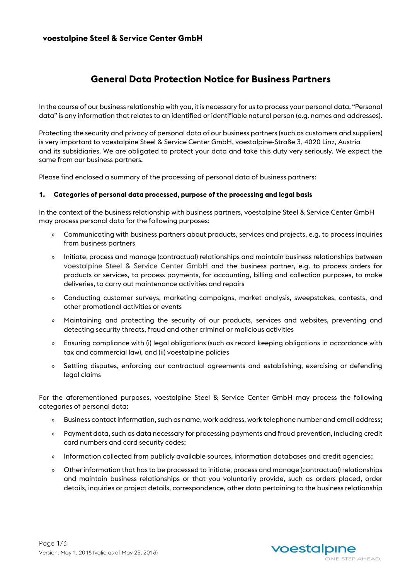# **General Data Protection Notice for Business Partners**

In the course of our business relationship with you, it is necessary for us to process your personal data. "Personal data" is any information that relates to an identified or identifiable natural person (e.g. names and addresses).

Protecting the security and privacy of personal data of our business partners (such as customers and suppliers) is very important to voestalpine Steel & Service Center GmbH, voestalpine-Straße 3, 4020 Linz, Austria and its subsidiaries. We are obligated to protect your data and take this duty very seriously. We expect the same from our business partners.

Please find enclosed a summary of the processing of personal data of business partners:

#### **1. Categories of personal data processed, purpose of the processing and legal basis**

In the context of the business relationship with business partners, voestalpine Steel & Service Center GmbH may process personal data for the following purposes:

- » Communicating with business partners about products, services and projects, e.g. to process inquiries from business partners
- » Initiate, process and manage (contractual) relationships and maintain business relationships between voestalpine Steel & Service Center GmbH and the business partner, e.g. to process orders for products or services, to process payments, for accounting, billing and collection purposes, to make deliveries, to carry out maintenance activities and repairs
- » Conducting customer surveys, marketing campaigns, market analysis, sweepstakes, contests, and other promotional activities or events
- » Maintaining and protecting the security of our products, services and websites, preventing and detecting security threats, fraud and other criminal or malicious activities
- » Ensuring compliance with (i) legal obligations (such as record keeping obligations in accordance with tax and commercial law), and (ii) voestalpine policies
- » Settling disputes, enforcing our contractual agreements and establishing, exercising or defending legal claims

For the aforementioned purposes, voestalpine Steel & Service Center GmbH may process the following categories of personal data:

- » Business contact information, such as name, work address, work telephone number and email address;
- » Payment data, such as data necessary for processing payments and fraud prevention, including credit card numbers and card security codes;
- » Information collected from publicly available sources, information databases and credit agencies;
- » Other information that has to be processed to initiate, process and manage (contractual) relationships and maintain business relationships or that you voluntarily provide, such as orders placed, order details, inquiries or project details, correspondence, other data pertaining to the business relationship

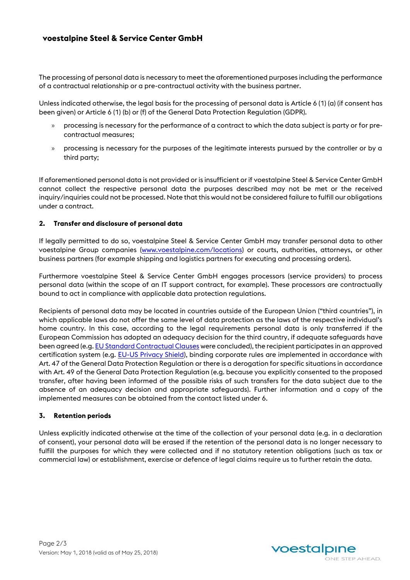# **voestalpine Steel & Service Center GmbH**

The processing of personal data is necessary to meet the aforementioned purposes including the performance of a contractual relationship or a pre-contractual activity with the business partner.

Unless indicated otherwise, the legal basis for the processing of personal data is Article 6 (1) (a) (if consent has been given) or Article 6 (1) (b) or (f) of the General Data Protection Regulation (GDPR).

- » processing is necessary for the performance of a contract to which the data subject is party or for precontractual measures;
- » processing is necessary for the purposes of the legitimate interests pursued by the controller or by a third party;

If aforementioned personal data is not provided or is insufficient or if voestalpine Steel & Service Center GmbH cannot collect the respective personal data the purposes described may not be met or the received inquiry/inquiries could not be processed. Note that this would not be considered failure to fulfill our obligations under a contract.

## **2. Transfer and disclosure of personal data**

If legally permitted to do so, voestalpine Steel & Service Center GmbH may transfer personal data to other voestalpine Group companies [\(www.voestalpine.com/locations\)](http://www.voestalpine.com/locations) or courts, authorities, attorneys, or other business partners (for example shipping and logistics partners for executing and processing orders).

Furthermore voestalpine Steel & Service Center GmbH engages processors (service providers) to process personal data (within the scope of an IT support contract, for example). These processors are contractually bound to act in compliance with applicable data protection regulations.

Recipients of personal data may be located in countries outside of the European Union ("third countries"), in which applicable laws do not offer the same level of data protection as the laws of the respective individual's home country. In this case, according to the legal requirements personal data is only transferred if the European Commission has adopted an adequacy decision for the third country, if adequate safeguards have been agreed (e.g[. EU Standard Contractual Clauses](https://ec.europa.eu/info/law/law-topic/data-protection/data-transfers-outside-eu/model-contracts-transfer-personal-data-third-countries_en) were concluded), the recipient participates in an approved certification system (e.g. [EU-US Privacy Shield\),](https://www.privacyshield.gov/welcome) binding corporate rules are implemented in accordance with Art. 47 of the General Data Protection Regulation or there is a derogation for specific situations in accordance with Art. 49 of the General Data Protection Regulation (e.g. because you explicitly consented to the proposed transfer, after having been informed of the possible risks of such transfers for the data subject due to the absence of an adequacy decision and appropriate safeguards). Further information and a copy of the implemented measures can be obtained from the contact listed under 6.

## **3. Retention periods**

Unless explicitly indicated otherwise at the time of the collection of your personal data (e.g. in a declaration of consent), your personal data will be erased if the retention of the personal data is no longer necessary to fulfill the purposes for which they were collected and if no statutory retention obligations (such as tax or commercial law) or establishment, exercise or defence of legal claims require us to further retain the data.